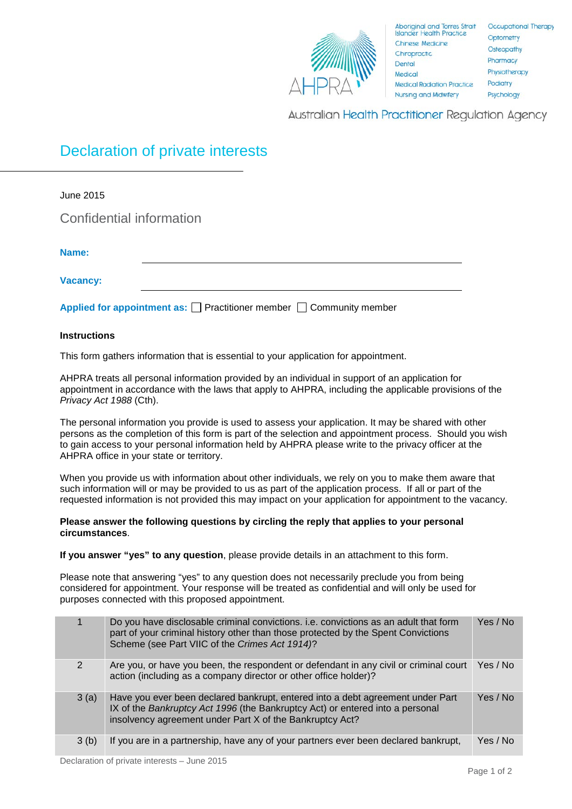

Australian Health Practitioner Regulation Agency

## Declaration of private interests

June 2015 Confidential information **Name: Vacancy: Applied for appointment as:** Practitioner member Community member

## **Instructions**

This form gathers information that is essential to your application for appointment.

AHPRA treats all personal information provided by an individual in support of an application for appointment in accordance with the laws that apply to AHPRA, including the applicable provisions of the *Privacy Act 1988* (Cth).

The personal information you provide is used to assess your application. It may be shared with other persons as the completion of this form is part of the selection and appointment process. Should you wish to gain access to your personal information held by AHPRA please write to the privacy officer at the AHPRA office in your state or territory.

When you provide us with information about other individuals, we rely on you to make them aware that such information will or may be provided to us as part of the application process. If all or part of the requested information is not provided this may impact on your application for appointment to the vacancy.

## **Please answer the following questions by circling the reply that applies to your personal circumstances**.

**If you answer "yes" to any question**, please provide details in an attachment to this form.

Please note that answering "yes" to any question does not necessarily preclude you from being considered for appointment. Your response will be treated as confidential and will only be used for purposes connected with this proposed appointment.

|               | Do you have disclosable criminal convictions. i.e. convictions as an adult that form<br>part of your criminal history other than those protected by the Spent Convictions<br>Scheme (see Part VIIC of the Crimes Act 1914)? | Yes / No |
|---------------|-----------------------------------------------------------------------------------------------------------------------------------------------------------------------------------------------------------------------------|----------|
| $\mathcal{P}$ | Are you, or have you been, the respondent or defendant in any civil or criminal court<br>action (including as a company director or other office holder)?                                                                   | Yes / No |
| 3(a)          | Have you ever been declared bankrupt, entered into a debt agreement under Part<br>IX of the Bankruptcy Act 1996 (the Bankruptcy Act) or entered into a personal<br>insolvency agreement under Part X of the Bankruptcy Act? | Yes / No |
| 3(b)          | If you are in a partnership, have any of your partners ever been declared bankrupt,                                                                                                                                         | Yes / No |